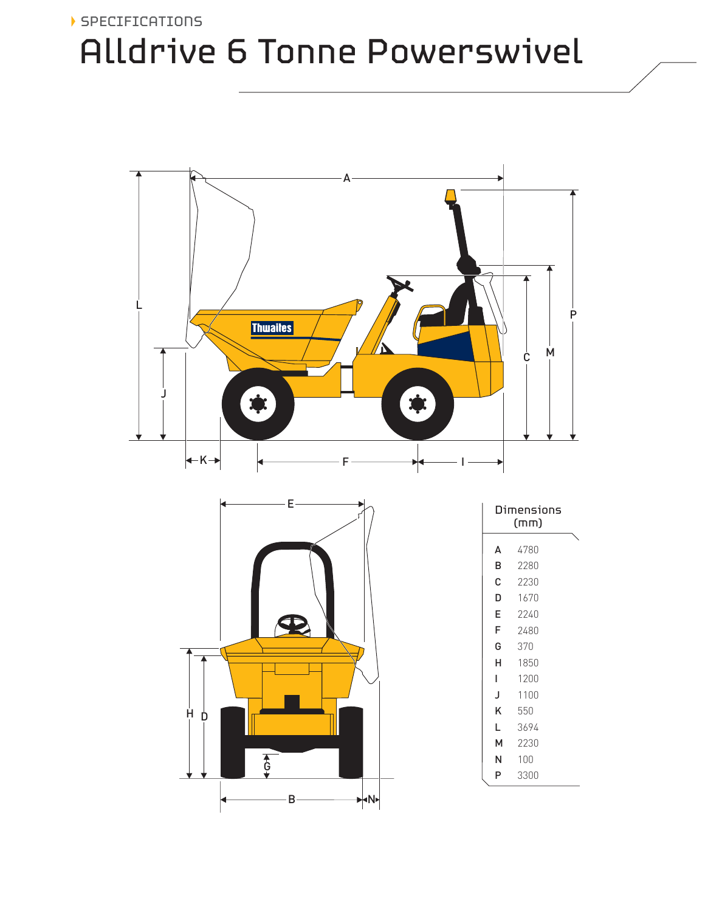### SPECIFICATIONS Alldrive 6 Tonne Powerswivel